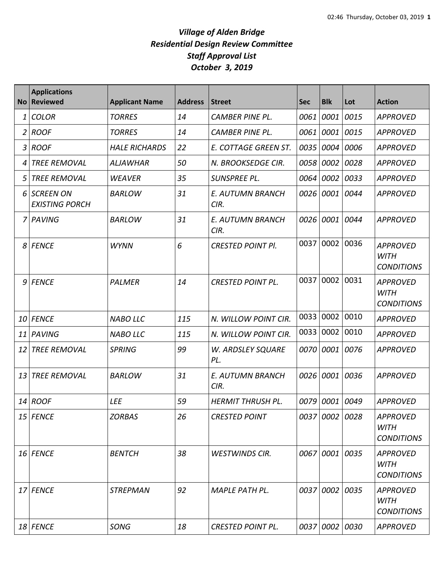|    | <b>Applications</b><br>No Reviewed   | <b>Applicant Name</b> | <b>Address</b> | <b>Street</b>                   | <b>Sec</b> | <b>Blk</b>     | Lot  | <b>Action</b>                                       |
|----|--------------------------------------|-----------------------|----------------|---------------------------------|------------|----------------|------|-----------------------------------------------------|
| 1  | <b>COLOR</b>                         | <b>TORRES</b>         | 14             | <b>CAMBER PINE PL.</b>          | 0061       | 0001           | 0015 | <b>APPROVED</b>                                     |
|    | 2 ROOF                               | <b>TORRES</b>         | 14             | <b>CAMBER PINE PL.</b>          | 0061       | 0001           | 0015 | <b>APPROVED</b>                                     |
|    | 3 ROOF                               | <b>HALE RICHARDS</b>  | 22             | E. COTTAGE GREEN ST.            | 0035       | 0004           | 0006 | <b>APPROVED</b>                                     |
| 4  | <b>TREE REMOVAL</b>                  | <b>ALJAWHAR</b>       | 50             | N. BROOKSEDGE CIR.              | 0058       | 0002           | 0028 | <b>APPROVED</b>                                     |
| 5  | <b>TREE REMOVAL</b>                  | <b>WEAVER</b>         | 35             | SUNSPREE PL.                    | 0064       | 0002           | 0033 | <b>APPROVED</b>                                     |
|    | 6 SCREEN ON<br><b>EXISTING PORCH</b> | <b>BARLOW</b>         | 31             | <b>E. AUTUMN BRANCH</b><br>CIR. | 0026       | 0001           | 0044 | <b>APPROVED</b>                                     |
|    | 7 PAVING                             | <b>BARLOW</b>         | 31             | E. AUTUMN BRANCH<br>CIR.        | 0026       | 0001           | 0044 | <b>APPROVED</b>                                     |
|    | 8 FENCE                              | <b>WYNN</b>           | 6              | <b>CRESTED POINT PI.</b>        | 0037       | 0002           | 0036 | <b>APPROVED</b><br><b>WITH</b><br><b>CONDITIONS</b> |
|    | 9 FENCE                              | <b>PALMER</b>         | 14             | <b>CRESTED POINT PL.</b>        | 0037       | 0002           | 0031 | <b>APPROVED</b><br><b>WITH</b><br><b>CONDITIONS</b> |
| 10 | <b>FENCE</b>                         | <b>NABO LLC</b>       | 115            | N. WILLOW POINT CIR.            | 0033       | 0002           | 0010 | <b>APPROVED</b>                                     |
| 11 | PAVING                               | <b>NABO LLC</b>       | 115            | N. WILLOW POINT CIR.            | 0033       | 0002 0010      |      | <b>APPROVED</b>                                     |
| 12 | <b>TREE REMOVAL</b>                  | <b>SPRING</b>         | 99             | W. ARDSLEY SQUARE<br>PL.        | 0070       | 0001 0076      |      | <b>APPROVED</b>                                     |
| 13 | <b>TREE REMOVAL</b>                  | <b>BARLOW</b>         | 31             | <b>E. AUTUMN BRANCH</b><br>CIR. | 0026       | 0001           | 0036 | <b>APPROVED</b>                                     |
| 14 | <b>ROOF</b>                          | <b>LEE</b>            | 59             | <b>HERMIT THRUSH PL.</b>        | 0079       | 0001           | 0049 | <b>APPROVED</b>                                     |
|    | $15$ FENCE                           | <b>ZORBAS</b>         | 26             | <b>CRESTED POINT</b>            |            | 0037 0002 0028 |      | <b>APPROVED</b><br><b>WITH</b><br><b>CONDITIONS</b> |
|    | 16 FENCE                             | <b>BENTCH</b>         | 38             | <b>WESTWINDS CIR.</b>           |            | 0067 0001 0035 |      | <b>APPROVED</b><br><b>WITH</b><br><b>CONDITIONS</b> |
|    | 17 FENCE                             | <b>STREPMAN</b>       | 92             | MAPLE PATH PL.                  |            | 0037 0002 0035 |      | <b>APPROVED</b><br><b>WITH</b><br><b>CONDITIONS</b> |
|    | 18 FENCE                             | SONG                  | 18             | <b>CRESTED POINT PL.</b>        |            | 0037 0002 0030 |      | <b>APPROVED</b>                                     |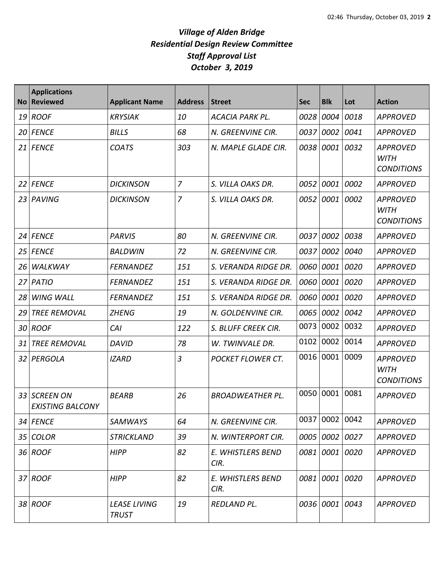| <b>No</b> | <b>Applications</b><br><b>Reviewed</b>      | <b>Applicant Name</b>               | <b>Address</b> | <b>Street</b>             | <b>Sec</b> | <b>Blk</b>     | Lot  | <b>Action</b>                                       |
|-----------|---------------------------------------------|-------------------------------------|----------------|---------------------------|------------|----------------|------|-----------------------------------------------------|
| 19        | <b>ROOF</b>                                 | <b>KRYSIAK</b>                      | 10             | <b>ACACIA PARK PL.</b>    | 0028       | 0004           | 0018 | <b>APPROVED</b>                                     |
| 20        | <b>FENCE</b>                                | <b>BILLS</b>                        | 68             | N. GREENVINE CIR.         | 0037       | 0002           | 0041 | <b>APPROVED</b>                                     |
| 21        | <b>FENCE</b>                                | <b>COATS</b>                        | 303            | N. MAPLE GLADE CIR.       | 0038       | 0001           | 0032 | <b>APPROVED</b><br><b>WITH</b><br><b>CONDITIONS</b> |
| 22        | <b>FENCE</b>                                | <b>DICKINSON</b>                    | $\overline{7}$ | S. VILLA OAKS DR.         | 0052       | 0001           | 0002 | <b>APPROVED</b>                                     |
| 23        | PAVING                                      | <b>DICKINSON</b>                    | $\overline{7}$ | S. VILLA OAKS DR.         | 0052       | 0001           | 0002 | <b>APPROVED</b><br><b>WITH</b><br><b>CONDITIONS</b> |
| 24        | <b>FENCE</b>                                | <b>PARVIS</b>                       | 80             | N. GREENVINE CIR.         | 0037       | 0002           | 0038 | <b>APPROVED</b>                                     |
| 25        | <b>FENCE</b>                                | <b>BALDWIN</b>                      | 72             | N. GREENVINE CIR.         | 0037       | 0002           | 0040 | <b>APPROVED</b>                                     |
| 26        | WALKWAY                                     | <b>FERNANDEZ</b>                    | 151            | S. VERANDA RIDGE DR.      | 0060       | 0001           | 0020 | <b>APPROVED</b>                                     |
| 27        | <b>PATIO</b>                                | <b>FERNANDEZ</b>                    | 151            | S. VERANDA RIDGE DR.      | 0060       | 0001           | 0020 | <b>APPROVED</b>                                     |
| 28        | <b>WING WALL</b>                            | <b>FERNANDEZ</b>                    | 151            | S. VERANDA RIDGE DR.      | 0060       | 0001           | 0020 | <b>APPROVED</b>                                     |
| 29        | <b>TREE REMOVAL</b>                         | <b>ZHENG</b>                        | 19             | N. GOLDENVINE CIR.        | 0065       | 0002           | 0042 | <b>APPROVED</b>                                     |
| 30        | <b>ROOF</b>                                 | CAI                                 | 122            | S. BLUFF CREEK CIR.       | 0073       | 0002           | 0032 | <b>APPROVED</b>                                     |
| 31        | <b>TREE REMOVAL</b>                         | <b>DAVID</b>                        | 78             | W. TWINVALE DR.           | 0102       | 0002           | 0014 | <b>APPROVED</b>                                     |
| 32        | PERGOLA                                     | <b>IZARD</b>                        | 3              | <b>POCKET FLOWER CT.</b>  | 0016       | 0001           | 0009 | <b>APPROVED</b><br><b>WITH</b><br><b>CONDITIONS</b> |
| 33        | <b>SCREEN ON</b><br><b>EXISTING BALCONY</b> | <b>BEARB</b>                        | 26             | <b>BROADWEATHER PL.</b>   | 0050       | 0001           | 0081 | <b>APPROVED</b>                                     |
|           | 34 FENCE                                    | SAMWAYS                             | 64             | N. GREENVINE CIR.         | 0037       | 0002 0042      |      | <b>APPROVED</b>                                     |
| 35        | <b>COLOR</b>                                | <b>STRICKLAND</b>                   | 39             | N. WINTERPORT CIR.        |            | 0005 0002 0027 |      | <b>APPROVED</b>                                     |
|           | 36 ROOF                                     | <b>HIPP</b>                         | 82             | E. WHISTLERS BEND<br>CIR. |            | 0081 0001 0020 |      | <b>APPROVED</b>                                     |
|           | 37 ROOF                                     | <b>HIPP</b>                         | 82             | E. WHISTLERS BEND<br>CIR. |            | 0081 0001 0020 |      | <b>APPROVED</b>                                     |
|           | 38 ROOF                                     | <b>LEASE LIVING</b><br><b>TRUST</b> | 19             | REDLAND PL.               |            | 0036 0001 0043 |      | <b>APPROVED</b>                                     |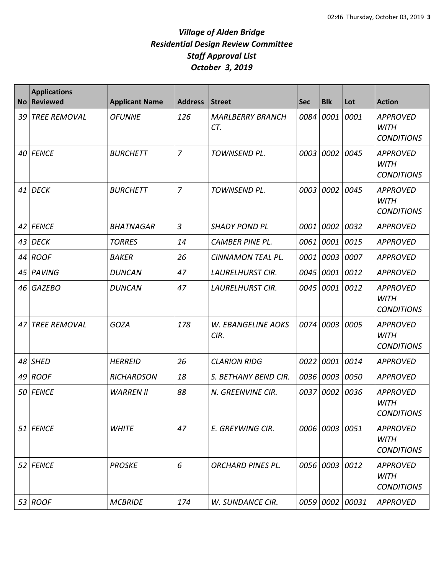| <b>No</b> | <b>Applications</b><br><b>Reviewed</b> | <b>Applicant Name</b> | <b>Address</b> | <b>Street</b>                  | <b>Sec</b> | <b>Blk</b>     | Lot        | <b>Action</b>                                       |
|-----------|----------------------------------------|-----------------------|----------------|--------------------------------|------------|----------------|------------|-----------------------------------------------------|
| 39        | <b>TREE REMOVAL</b>                    | <b>OFUNNE</b>         | 126            | <b>MARLBERRY BRANCH</b><br>CT. | 0084       | 0001           | 0001       | <b>APPROVED</b><br><b>WITH</b><br><b>CONDITIONS</b> |
| 40        | <b>FENCE</b>                           | <b>BURCHETT</b>       | $\overline{7}$ | TOWNSEND PL.                   | 0003       | 0002           | 0045       | <b>APPROVED</b><br><b>WITH</b><br><b>CONDITIONS</b> |
| 41        | <b>DECK</b>                            | <b>BURCHETT</b>       | $\overline{7}$ | TOWNSEND PL.                   | 0003       | 0002           | 0045       | <b>APPROVED</b><br><b>WITH</b><br><b>CONDITIONS</b> |
| 42        | <b>FENCE</b>                           | <b>BHATNAGAR</b>      | 3              | <b>SHADY POND PL</b>           | 0001       | 0002           | 0032       | <b>APPROVED</b>                                     |
| 43        | <b>DECK</b>                            | <b>TORRES</b>         | 14             | <b>CAMBER PINE PL.</b>         | 0061       | 0001           | 0015       | <b>APPROVED</b>                                     |
| 44        | <b>ROOF</b>                            | <b>BAKER</b>          | 26             | CINNAMON TEAL PL.              | 0001       | 0003 0007      |            | <b>APPROVED</b>                                     |
| 45        | PAVING                                 | <b>DUNCAN</b>         | 47             | <b>LAURELHURST CIR.</b>        | 0045       | 0001 0012      |            | <b>APPROVED</b>                                     |
| 46        | <b>GAZEBO</b>                          | <b>DUNCAN</b>         | 47             | <b>LAURELHURST CIR.</b>        | 0045       | 0001           | 0012       | <b>APPROVED</b><br><b>WITH</b><br><b>CONDITIONS</b> |
| 47        | <b>TREE REMOVAL</b>                    | <b>GOZA</b>           | 178            | W. EBANGELINE AOKS<br>CIR.     | 0074       | 0003           | 0005       | <b>APPROVED</b><br><b>WITH</b><br><b>CONDITIONS</b> |
| 48        | <b>SHED</b>                            | <b>HERREID</b>        | 26             | <b>CLARION RIDG</b>            | 0022       | 0001           | 0014       | <b>APPROVED</b>                                     |
| 49        | <b>ROOF</b>                            | <b>RICHARDSON</b>     | 18             | S. BETHANY BEND CIR.           | 0036       | 0003 0050      |            | <b>APPROVED</b>                                     |
| 50        | <b>FENCE</b>                           | <b>WARREN II</b>      | 88             | N. GREENVINE CIR.              | 0037       | 0002           | 0036       | <b>APPROVED</b><br><b>WITH</b><br><b>CONDITIONS</b> |
|           | 51 FENCE                               | <b>WHITE</b>          | 47             | E. GREYWING CIR.               |            | 0006 0003 0051 |            | <b>APPROVED</b><br><b>WITH</b><br><b>CONDITIONS</b> |
| 52        | <b>FENCE</b>                           | <b>PROSKE</b>         | 6              | <b>ORCHARD PINES PL.</b>       |            | 0056 0003 0012 |            | <b>APPROVED</b><br><b>WITH</b><br><b>CONDITIONS</b> |
| 53        | <b>ROOF</b>                            | <b>MCBRIDE</b>        | 174            | W. SUNDANCE CIR.               | 0059       |                | 0002 00031 | <b>APPROVED</b>                                     |